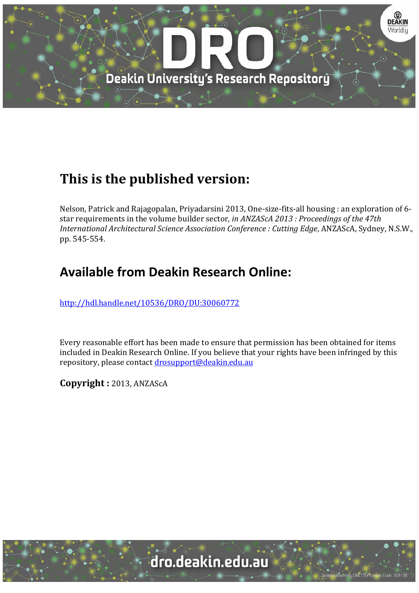

# **This is the published version:**

Nelson, Patrick and Rajagopalan, Priyadarsini 2013, One-size-fits-all housing : an exploration of 6star requirements in the volume builder sector, *in ANZAScA 2013 : Proceedings of the 47th International Architectural Science Association Conference : Cutting Edge*, ANZAScA, Sydney, N.S.W., pp. 545‐554. 

## **Available from Deakin Research Online:**

http://hdl.handle.net/10536/DRO/DU:30060772

Every reasonable effort has been made to ensure that permission has been obtained for items included in Deakin Research Online. If you believe that your rights have been infringed by this repository, please contact drosupport@deakin.edu.au

**Copyright :** 2013, ANZAScA 

University CRICOS Provider Code: 00113E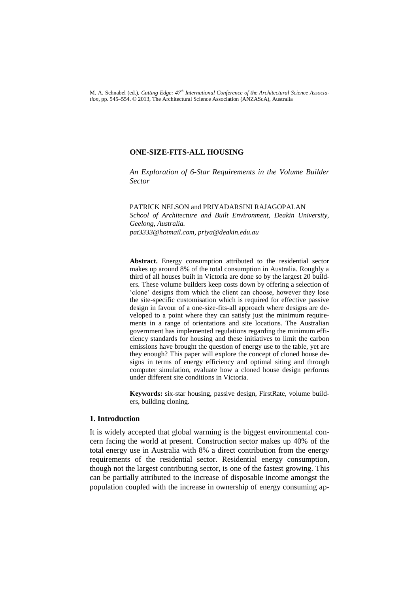M. A. Schnabel (ed.), *Cutting Edge: 47th International Conference of the Architectural Science Association,* pp. 545–554. © 2013, The Architectural Science Association (ANZAScA), Australia

## **ONE-SIZE-FITS-ALL HOUSING**

*An Exploration of 6-Star Requirements in the Volume Builder Sector*

PATRICK NELSON and PRIYADARSINI RAJAGOPALAN *School of Architecture and Built Environment, Deakin University, Geelong, Australia. pat3333@hotmail.com, priya@deakin.edu.au*

**Abstract.** Energy consumption attributed to the residential sector makes up around 8% of the total consumption in Australia. Roughly a third of all houses built in Victoria are done so by the largest 20 builders. These volume builders keep costs down by offering a selection of 'clone' designs from which the client can choose, however they lose the site-specific customisation which is required for effective passive design in favour of a one-size-fits-all approach where designs are developed to a point where they can satisfy just the minimum requirements in a range of orientations and site locations. The Australian government has implemented regulations regarding the minimum efficiency standards for housing and these initiatives to limit the carbon emissions have brought the question of energy use to the table, yet are they enough? This paper will explore the concept of cloned house designs in terms of energy efficiency and optimal siting and through computer simulation, evaluate how a cloned house design performs under different site conditions in Victoria.

**Keywords:** six-star housing, passive design, FirstRate, volume builders, building cloning.

## **1. Introduction**

It is widely accepted that global warming is the biggest environmental concern facing the world at present. Construction sector makes up 40% of the total energy use in Australia with 8% a direct contribution from the energy requirements of the residential sector. Residential energy consumption, though not the largest contributing sector, is one of the fastest growing. This can be partially attributed to the increase of disposable income amongst the population coupled with the increase in ownership of energy consuming ap-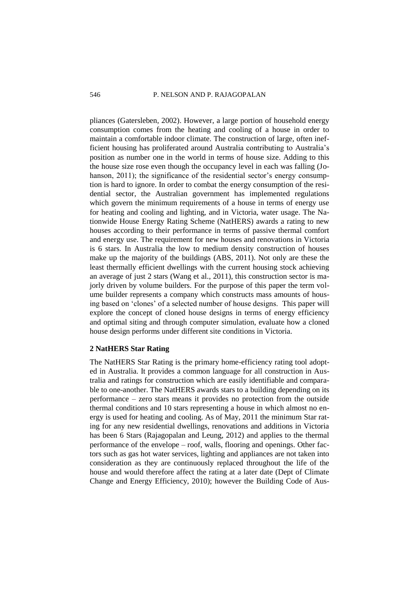#### 546 P. NELSON AND P. RAJAGOPALAN

pliances (Gatersleben, 2002). However, a large portion of household energy consumption comes from the heating and cooling of a house in order to maintain a comfortable indoor climate. The construction of large, often inefficient housing has proliferated around Australia contributing to Australia's position as number one in the world in terms of house size. Adding to this the house size rose even though the occupancy level in each was falling (Johanson, 2011); the significance of the residential sector's energy consumption is hard to ignore. In order to combat the energy consumption of the residential sector, the Australian government has implemented regulations which govern the minimum requirements of a house in terms of energy use for heating and cooling and lighting, and in Victoria, water usage. The Nationwide House Energy Rating Scheme (NatHERS) awards a rating to new houses according to their performance in terms of passive thermal comfort and energy use. The requirement for new houses and renovations in Victoria is 6 stars. In Australia the low to medium density construction of houses make up the majority of the buildings (ABS, 2011). Not only are these the least thermally efficient dwellings with the current housing stock achieving an average of just 2 stars (Wang et al., 2011), this construction sector is majorly driven by volume builders. For the purpose of this paper the term volume builder represents a company which constructs mass amounts of housing based on 'clones' of a selected number of house designs. This paper will explore the concept of cloned house designs in terms of energy efficiency and optimal siting and through computer simulation, evaluate how a cloned house design performs under different site conditions in Victoria.

## **2 NatHERS Star Rating**

The NatHERS Star Rating is the primary home-efficiency rating tool adopted in Australia. It provides a common language for all construction in Australia and ratings for construction which are easily identifiable and comparable to one-another. The NatHERS awards stars to a building depending on its performance – zero stars means it provides no protection from the outside thermal conditions and 10 stars representing a house in which almost no energy is used for heating and cooling. As of May, 2011 the minimum Star rating for any new residential dwellings, renovations and additions in Victoria has been 6 Stars (Rajagopalan and Leung, 2012) and applies to the thermal performance of the envelope – roof, walls, flooring and openings. Other factors such as gas hot water services, lighting and appliances are not taken into consideration as they are continuously replaced throughout the life of the house and would therefore affect the rating at a later date (Dept of Climate Change and Energy Efficiency, 2010); however the Building Code of Aus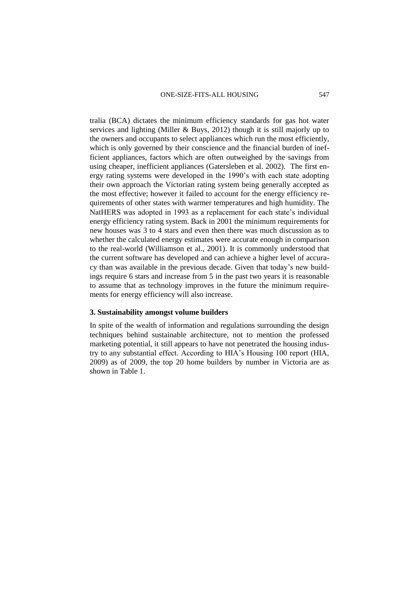tralia (BCA) dictates the minimum efficiency standards for gas hot water services and lighting (Miller & Buys, 2012) though it is still majorly up to the owners and occupants to select appliances which run the most efficiently, which is only governed by their conscience and the financial burden of inefficient appliances, factors which are often outweighed by the savings from using cheaper, inefficient appliances (Gatersleben et al. 2002). The first energy rating systems were developed in the 1990's with each state adopting their own approach the Victorian rating system being generally accepted as the most effective; however it failed to account for the energy efficiency requirements of other states with warmer temperatures and high humidity. The NatHERS was adopted in 1993 as a replacement for each state's individual energy efficiency rating system. Back in 2001 the minimum requirements for new houses was 3 to 4 stars and even then there was much discussion as to whether the calculated energy estimates were accurate enough in comparison to the real-world (Williamson et al., 2001). It is commonly understood that the current software has developed and can achieve a higher level of accuracy than was available in the previous decade. Given that today's new buildings require 6 stars and increase from 5 in the past two years it is reasonable to assume that as technology improves in the future the minimum requirements for energy efficiency will also increase.

### **3. Sustainability amongst volume builders**

In spite of the wealth of information and regulations surrounding the design techniques behind sustainable architecture, not to mention the professed marketing potential, it still appears to have not penetrated the housing industry to any substantial effect. According to HIA's Housing 100 report (HIA, 2009) as of 2009, the top 20 home builders by number in Victoria are as shown in Table 1.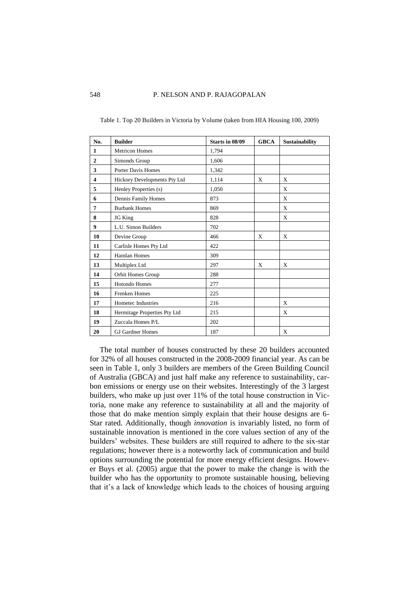| No.                     | <b>Builder</b>               | Starts in 08/09 | <b>GBCA</b> | <b>Sustainability</b> |
|-------------------------|------------------------------|-----------------|-------------|-----------------------|
| 1                       | <b>Metricon Homes</b>        | 1,794           |             |                       |
| $\overline{2}$          | Simonds Group                | 1,606           |             |                       |
| 3                       | Porter Davis Homes           | 1,342           |             |                       |
| $\overline{\mathbf{4}}$ | Hickory Developments Pty Ltd | 1,114           | X           | X                     |
| 5                       | Henley Properties (s)        | 1,050           |             | X                     |
| 6                       | Dennis Family Homes          | 873             |             | X                     |
| 7                       | <b>Burbank Homes</b>         | 869             |             | X                     |
| 8                       | JG King                      | 828             |             | X                     |
| 9                       | L.U. Simon Builders          | 702             |             |                       |
| 10                      | Devine Group                 | 466             | X           | X                     |
| 11                      | Carlisle Homes Pty Ltd       | 422             |             |                       |
| 12                      | <b>Hamlan Homes</b>          | 309             |             |                       |
| 13                      | Multiplex Ltd                | 297             | X           | X                     |
| 14                      | Orbit Homes Group            | 288             |             |                       |
| 15                      | <b>Hotondo Homes</b>         | 277             |             |                       |
| 16                      | <b>Frenken Homes</b>         | 225             |             |                       |
| 17                      | Hometec Industries           | 216             |             | X                     |
| 18                      | Hermitage Properties Pty Ltd | 215             |             | X                     |
| 19                      | Zuccala Homes P/L            | 202             |             |                       |
| 20                      | <b>GJ Gardner Homes</b>      | 187             |             | X                     |

Table 1. Top 20 Builders in Victoria by Volume (taken from HIA Housing 100, 2009)

The total number of houses constructed by these 20 builders accounted for 32% of all houses constructed in the 2008-2009 financial year. As can be seen in Table 1, only 3 builders are members of the Green Building Council of Australia (GBCA) and just half make any reference to sustainability, carbon emissions or energy use on their websites. Interestingly of the 3 largest builders, who make up just over 11% of the total house construction in Victoria, none make any reference to sustainability at all and the majority of those that do make mention simply explain that their house designs are 6- Star rated. Additionally, though *innovation* is invariably listed, no form of sustainable innovation is mentioned in the core values section of any of the builders' websites. These builders are still required to adhere to the six-star regulations; however there is a noteworthy lack of communication and build options surrounding the potential for more energy efficient designs. However Buys et al. (2005) argue that the power to make the change is with the builder who has the opportunity to promote sustainable housing, believing that it's a lack of knowledge which leads to the choices of housing arguing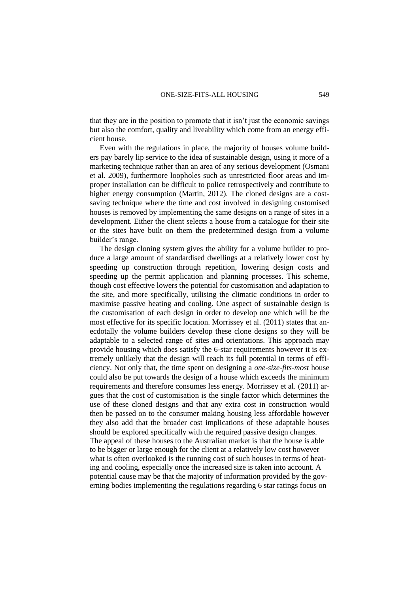that they are in the position to promote that it isn't just the economic savings but also the comfort, quality and liveability which come from an energy efficient house.

Even with the regulations in place, the majority of houses volume builders pay barely lip service to the idea of sustainable design, using it more of a marketing technique rather than an area of any serious development (Osmani et al. 2009), furthermore loopholes such as unrestricted floor areas and improper installation can be difficult to police retrospectively and contribute to higher energy consumption (Martin, 2012). The cloned designs are a costsaving technique where the time and cost involved in designing customised houses is removed by implementing the same designs on a range of sites in a development. Either the client selects a house from a catalogue for their site or the sites have built on them the predetermined design from a volume builder's range.

The design cloning system gives the ability for a volume builder to produce a large amount of standardised dwellings at a relatively lower cost by speeding up construction through repetition, lowering design costs and speeding up the permit application and planning processes. This scheme, though cost effective lowers the potential for customisation and adaptation to the site, and more specifically, utilising the climatic conditions in order to maximise passive heating and cooling. One aspect of sustainable design is the customisation of each design in order to develop one which will be the most effective for its specific location. Morrissey et al. (2011) states that anecdotally the volume builders develop these clone designs so they will be adaptable to a selected range of sites and orientations. This approach may provide housing which does satisfy the 6-star requirements however it is extremely unlikely that the design will reach its full potential in terms of efficiency. Not only that, the time spent on designing a *one-size-fits-most* house could also be put towards the design of a house which exceeds the minimum requirements and therefore consumes less energy. Morrissey et al. (2011) argues that the cost of customisation is the single factor which determines the use of these cloned designs and that any extra cost in construction would then be passed on to the consumer making housing less affordable however they also add that the broader cost implications of these adaptable houses should be explored specifically with the required passive design changes. The appeal of these houses to the Australian market is that the house is able to be bigger or large enough for the client at a relatively low cost however what is often overlooked is the running cost of such houses in terms of heating and cooling, especially once the increased size is taken into account. A potential cause may be that the majority of information provided by the governing bodies implementing the regulations regarding 6 star ratings focus on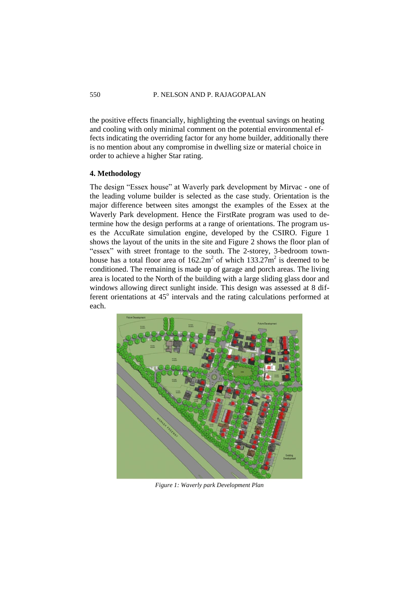#### 550 P. NELSON AND P. RAJAGOPALAN

the positive effects financially, highlighting the eventual savings on heating and cooling with only minimal comment on the potential environmental effects indicating the overriding factor for any home builder, additionally there is no mention about any compromise in dwelling size or material choice in order to achieve a higher Star rating.

## **4. Methodology**

The design "Essex house" at Waverly park development by Mirvac - one of the leading volume builder is selected as the case study. Orientation is the major difference between sites amongst the examples of the Essex at the Waverly Park development. Hence the FirstRate program was used to determine how the design performs at a range of orientations. The program uses the AccuRate simulation engine, developed by the CSIRO. Figure 1 shows the layout of the units in the site and Figure 2 shows the floor plan of "essex" with street frontage to the south. The 2-storey, 3-bedroom townhouse has a total floor area of  $162.2m^2$  of which  $133.27m^2$  is deemed to be conditioned. The remaining is made up of garage and porch areas. The living area is located to the North of the building with a large sliding glass door and windows allowing direct sunlight inside. This design was assessed at 8 different orientations at 45° intervals and the rating calculations performed at each.



*Figure 1: Waverly park Development Plan*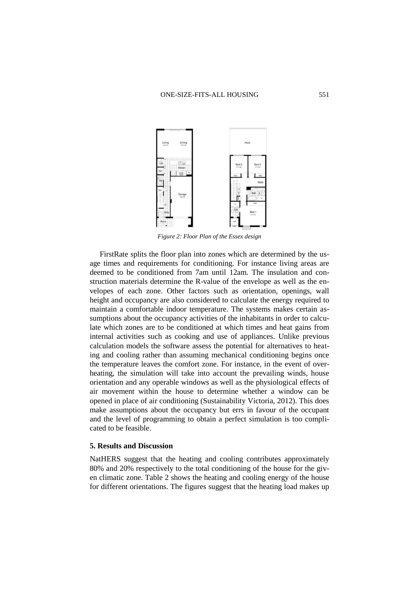

*Figure 2: Floor Plan of the Essex design*

FirstRate splits the floor plan into zones which are determined by the usage times and requirements for conditioning. For instance living areas are deemed to be conditioned from 7am until 12am. The insulation and construction materials determine the R-value of the envelope as well as the envelopes of each zone. Other factors such as orientation, openings, wall height and occupancy are also considered to calculate the energy required to maintain a comfortable indoor temperature. The systems makes certain assumptions about the occupancy activities of the inhabitants in order to calculate which zones are to be conditioned at which times and heat gains from internal activities such as cooking and use of appliances. Unlike previous calculation models the software assess the potential for alternatives to heating and cooling rather than assuming mechanical conditioning begins once the temperature leaves the comfort zone. For instance, in the event of overheating, the simulation will take into account the prevailing winds, house orientation and any operable windows as well as the physiological effects of air movement within the house to determine whether a window can be opened in place of air conditioning (Sustainability Victoria, 2012). This does make assumptions about the occupancy but errs in favour of the occupant and the level of programming to obtain a perfect simulation is too complicated to be feasible.

## **5. Results and Discussion**

NatHERS suggest that the heating and cooling contributes approximately 80% and 20% respectively to the total conditioning of the house for the given climatic zone. Table 2 shows the heating and cooling energy of the house for different orientations. The figures suggest that the heating load makes up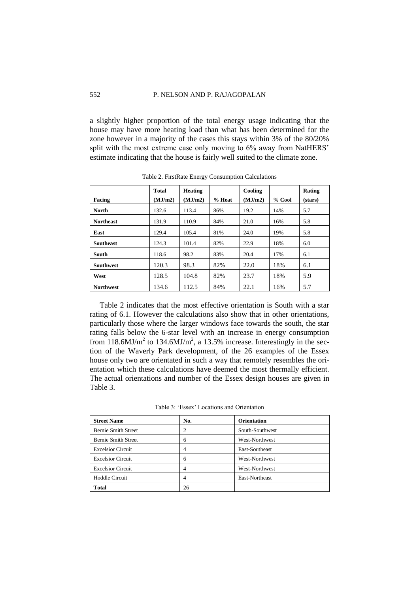#### 552 P. NELSON AND P. RAJAGOPALAN

a slightly higher proportion of the total energy usage indicating that the house may have more heating load than what has been determined for the zone however in a majority of the cases this stays within 3% of the 80/20% split with the most extreme case only moving to 6% away from NatHERS' estimate indicating that the house is fairly well suited to the climate zone.

|                  | <b>Total</b> | <b>Heating</b> |          | Cooling |          | Rating  |
|------------------|--------------|----------------|----------|---------|----------|---------|
| Facing           | (MJ/m2)      | (MJ/m2)        | $%$ Heat | (MJ/m2) | $%$ Cool | (stars) |
| <b>North</b>     | 132.6        | 113.4          | 86%      | 19.2    | 14%      | 5.7     |
| <b>Northeast</b> | 131.9        | 110.9          | 84%      | 21.0    | 16%      | 5.8     |
| East             | 129.4        | 105.4          | 81%      | 24.0    | 19%      | 5.8     |
| <b>Southeast</b> | 124.3        | 101.4          | 82%      | 22.9    | 18%      | 6.0     |
| South            | 118.6        | 98.2           | 83%      | 20.4    | 17%      | 6.1     |
| <b>Southwest</b> | 120.3        | 98.3           | 82%      | 22.0    | 18%      | 6.1     |
| West             | 128.5        | 104.8          | 82%      | 23.7    | 18%      | 5.9     |
| <b>Northwest</b> | 134.6        | 112.5          | 84%      | 22.1    | 16%      | 5.7     |

Table 2. FirstRate Energy Consumption Calculations

Table 2 indicates that the most effective orientation is South with a star rating of 6.1. However the calculations also show that in other orientations, particularly those where the larger windows face towards the south, the star rating falls below the 6-star level with an increase in energy consumption from 118.6MJ/m<sup>2</sup> to 134.6MJ/m<sup>2</sup>, a 13.5% increase. Interestingly in the section of the Waverly Park development, of the 26 examples of the Essex house only two are orientated in such a way that remotely resembles the orientation which these calculations have deemed the most thermally efficient. The actual orientations and number of the Essex design houses are given in Table 3.

Table 3: 'Essex' Locations and Orientation

| <b>Street Name</b>         | No. | <b>Orientation</b> |  |
|----------------------------|-----|--------------------|--|
| <b>Bernie Smith Street</b> | 2   | South-Southwest    |  |
| <b>Bernie Smith Street</b> | 6   | West-Northwest     |  |
| <b>Excelsior Circuit</b>   | 4   | East-Southeast     |  |
| <b>Excelsior Circuit</b>   | 6   | West-Northwest     |  |
| <b>Excelsior Circuit</b>   |     | West-Northwest     |  |
| <b>Hoddle Circuit</b>      |     | East-Northeast     |  |
| <b>Total</b>               | 26  |                    |  |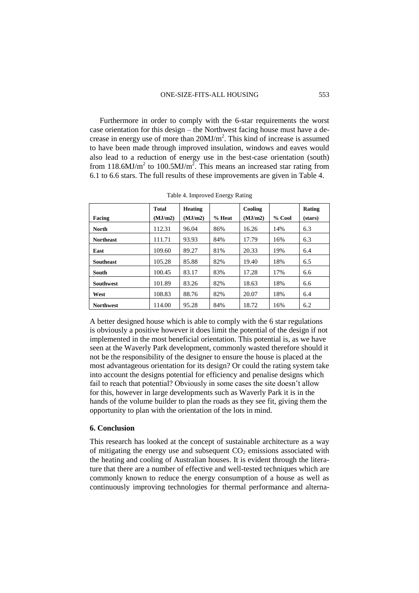Furthermore in order to comply with the 6-star requirements the worst case orientation for this design – the Northwest facing house must have a decrease in energy use of more than  $20 MJ/m<sup>2</sup>$ . This kind of increase is assumed to have been made through improved insulation, windows and eaves would also lead to a reduction of energy use in the best-case orientation (south) from 118.6MJ/m<sup>2</sup> to 100.5MJ/m<sup>2</sup>. This means an increased star rating from 6.1 to 6.6 stars. The full results of these improvements are given in Table 4.

|                  | <b>Total</b> | <b>Heating</b> |          | Cooling |          | Rating  |
|------------------|--------------|----------------|----------|---------|----------|---------|
| Facing           | (MJ/m2)      | (MJ/m2)        | $%$ Heat | (MJ/m2) | $%$ Cool | (stars) |
| <b>North</b>     | 112.31       | 96.04          | 86%      | 16.26   | 14%      | 6.3     |
| <b>Northeast</b> | 111.71       | 93.93          | 84%      | 17.79   | 16%      | 6.3     |
| East             | 109.60       | 89.27          | 81%      | 20.33   | 19%      | 6.4     |
| <b>Southeast</b> | 105.28       | 85.88          | 82%      | 19.40   | 18%      | 6.5     |
| South            | 100.45       | 83.17          | 83%      | 17.28   | 17%      | 6.6     |
| <b>Southwest</b> | 101.89       | 83.26          | 82%      | 18.63   | 18%      | 6.6     |
| West             | 108.83       | 88.76          | 82%      | 20.07   | 18%      | 6.4     |
| <b>Northwest</b> | 114.00       | 95.28          | 84%      | 18.72   | 16%      | 6.2     |

Table 4. Improved Energy Rating

A better designed house which is able to comply with the 6 star regulations is obviously a positive however it does limit the potential of the design if not implemented in the most beneficial orientation. This potential is, as we have seen at the Waverly Park development, commonly wasted therefore should it not be the responsibility of the designer to ensure the house is placed at the most advantageous orientation for its design? Or could the rating system take into account the designs potential for efficiency and penalise designs which fail to reach that potential? Obviously in some cases the site doesn't allow for this, however in large developments such as Waverly Park it is in the hands of the volume builder to plan the roads as they see fit, giving them the opportunity to plan with the orientation of the lots in mind.

## **6. Conclusion**

This research has looked at the concept of sustainable architecture as a way of mitigating the energy use and subsequent  $CO<sub>2</sub>$  emissions associated with the heating and cooling of Australian houses. It is evident through the literature that there are a number of effective and well-tested techniques which are commonly known to reduce the energy consumption of a house as well as continuously improving technologies for thermal performance and alterna